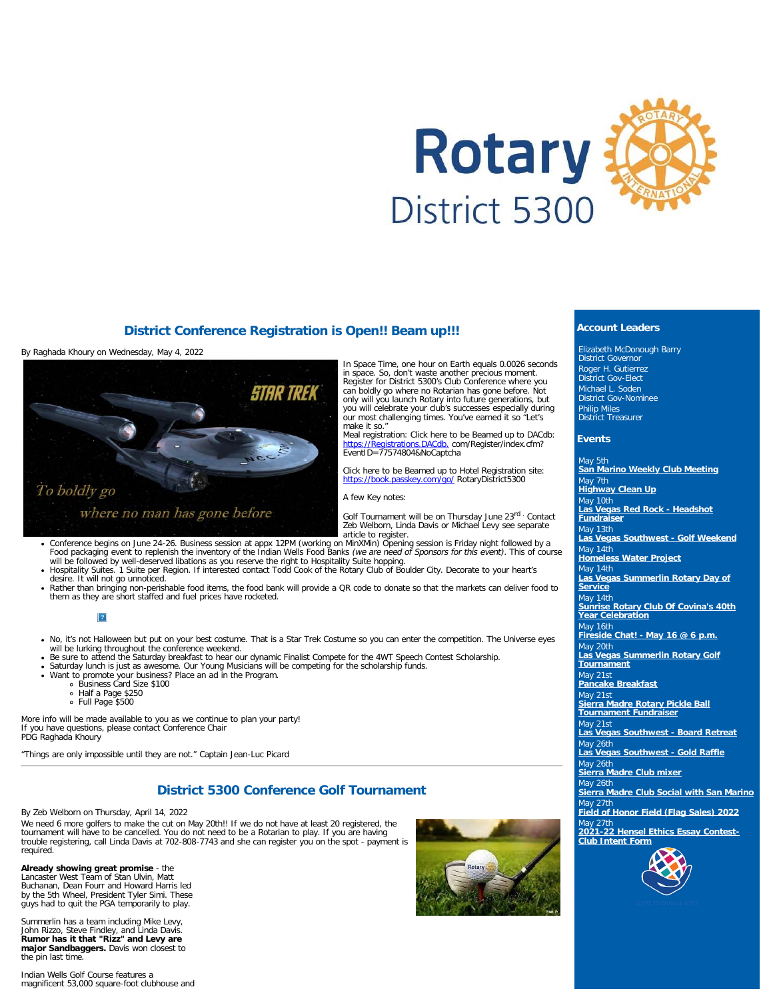

## **District Conference Registration is Open!! Beam up!!!**

By Raghada Khoury on Wednesday, May 4, 2022



In Space Time, one hour on Earth equals 0.0026 seconds in space. So, don't waste another precious moment. Register for District 5300's Club Conference where you can boldly go where no Rotarian has gone before. Not only will you launch Rotary into future generations, but you will celebrate your club's successes especially during our most challenging times. You've earned it so "Let's make it so."

Meal registration: Click here to be Beamed up to DACdb: [https://Registrations.DACdb.](https://registrations.dacdb.com/Register/index.cfm?EventID=77574804&NoCaptcha) com/Register/index.cfm? EventID=77574804&NoCaptcha

Click here to be Beamed up to Hotel Registration site: [https://book.passkey.com/go/](https://book.passkey.com/go/RotaryDistrict5300) RotaryDistrict5300

#### A few Key notes:

Golf Tournament will be on Thursday June 23rd . Contact Zeb Welborn, Linda Davis or Michael Levy see separate<br>article to register.

- Conference begins on June 24-26. Business session at appx 12PM (working on MinXMin) Opening session is Friday night followed by a<br>Food packaging event to replenish the inventory of the Indian Wells Food Banks (we are need
- desire. It will not go unnoticed.
- Rather than bringing non-perishable food items, the food bank will provide a QR code to donate so that the markets can deliver food to them as they are short staffed and fuel prices have rocketed.

 $\boxed{?}$ 

- . No, it's not Halloween but put on your best costume. That is a Star Trek Costume so you can enter the competition. The Universe eyes will be lurking throughout the conference weekend.
- . Be sure to attend the Saturday breakfast to hear our dynamic Finalist Compete for the 4WT Speech Contest Scholarship.
- Saturday lunch is just as awesome. Our Young Musicians will be competing for the scholarship funds.<br>Want to promote your business? Place an ad in the Program.<br>• Business Card Size \$100
- -
	- Half a Page \$250 Full Page \$500

More info will be made available to you as we continue to plan your party! If you have questions, please contact Conference Chair PDG Raghada Khoury

"Things are only impossible until they are not." Captain Jean-Luc Picard

# **District 5300 Conference Golf Tournament**

By Zeb Welborn on Thursday, April 14, 2022

We need 6 more golfers to make the cut on May 20th!! If we do not have at least 20 registered, the tournament will have to be cancelled. You do not need to be a Rotarian to play. If you are having trouble registering, call Linda Davis at 702-808-7743 and she can register you on the spot - payment is required.

**Already showing great promise** - the Lancaster West Team of Stan Ulvin, Matt Buchanan, Dean Fourr and Howard Harris led by the 5th Wheel, President Tyler Simi. These guys had to quit the PGA temporarily to play.

Summerlin has a team including Mike Levy, John Rizzo, Steve Findley, and Linda Davis. **Rumor has it that "Rizz" and Levy are major Sandbaggers.** Davis won closest to the pin last time.

Indian Wells Golf Course features a magnificent 53,000 square-foot clubhouse and



### **Account Leaders**

Elizabeth McDonough Barry District Governor Roger H. Gutierrez District Gov-Elect Michael L. Soden District Gov-Nominee Philip Miles District Treasurer

#### **Events**

May 5th **[San Marino Weekly Club Meeting](https://ismyrotaryclub.com/wp_api_prod_1-1/R_Event.cfm?fixTables=0&fixImages=0&EventID=77575161)** May 7th **[Highway Clean Up](https://ismyrotaryclub.com/wp_api_prod_1-1/R_Event.cfm?fixTables=0&fixImages=0&EventID=77591137)** May 10th **[Las Vegas Red Rock - Headshot](https://ismyrotaryclub.com/wp_api_prod_1-1/R_Event.cfm?fixTables=0&fixImages=0&EventID=77589897) [Fundraiser](https://ismyrotaryclub.com/wp_api_prod_1-1/R_Event.cfm?fixTables=0&fixImages=0&EventID=77589897)** May 13th **[Las Vegas Southwest - Golf Weekend](https://ismyrotaryclub.com/wp_api_prod_1-1/R_Event.cfm?fixTables=0&fixImages=0&EventID=77584587)** May 14th **[Homeless Water Project](https://ismyrotaryclub.com/wp_api_prod_1-1/R_Event.cfm?fixTables=0&fixImages=0&EventID=77585681)** May 14th **[Las Vegas Summerlin Rotary Day of](https://ismyrotaryclub.com/wp_api_prod_1-1/R_Event.cfm?fixTables=0&fixImages=0&EventID=77586967) [Service](https://ismyrotaryclub.com/wp_api_prod_1-1/R_Event.cfm?fixTables=0&fixImages=0&EventID=77586967)** May 14th **[Sunrise Rotary Club Of Covina's 40th](https://ismyrotaryclub.com/wp_api_prod_1-1/R_Event.cfm?fixTables=0&fixImages=0&EventID=77586180) [Year Celebration](https://ismyrotaryclub.com/wp_api_prod_1-1/R_Event.cfm?fixTables=0&fixImages=0&EventID=77586180)** May 16th **[Fireside Chat! - May 16 @ 6 p.m.](https://ismyrotaryclub.com/wp_api_prod_1-1/R_Event.cfm?fixTables=0&fixImages=0&EventID=77585784)** May 20th **[Las Vegas Summerlin Rotary Golf](https://ismyrotaryclub.com/wp_api_prod_1-1/R_Event.cfm?fixTables=0&fixImages=0&EventID=77538020) [Tournament](https://ismyrotaryclub.com/wp_api_prod_1-1/R_Event.cfm?fixTables=0&fixImages=0&EventID=77538020)** May 21st **[Pancake Breakfast](https://ismyrotaryclub.com/wp_api_prod_1-1/R_Event.cfm?fixTables=0&fixImages=0&EventID=77584062)** May 21st **[Sierra Madre Rotary Pickle Ball](https://ismyrotaryclub.com/wp_api_prod_1-1/R_Event.cfm?fixTables=0&fixImages=0&EventID=77588836) [Tournament Fundraiser](https://ismyrotaryclub.com/wp_api_prod_1-1/R_Event.cfm?fixTables=0&fixImages=0&EventID=77588836)** May 21st **[Las Vegas Southwest - Board Retreat](https://ismyrotaryclub.com/wp_api_prod_1-1/R_Event.cfm?fixTables=0&fixImages=0&EventID=77589898)** May 26th **[Las Vegas Southwest - Gold Raffle](https://ismyrotaryclub.com/wp_api_prod_1-1/R_Event.cfm?fixTables=0&fixImages=0&EventID=77584590)** May 26th **[Sierra Madre Club mixer](https://ismyrotaryclub.com/wp_api_prod_1-1/R_Event.cfm?fixTables=0&fixImages=0&EventID=77589203)** lay 26th **[Sierra Madre Club Social with San Marino](https://ismyrotaryclub.com/wp_api_prod_1-1/R_Event.cfm?fixTables=0&fixImages=0&EventID=77588838)** lav 27th **[Field of Honor Field \(Flag Sales\) 2022](https://ismyrotaryclub.com/wp_api_prod_1-1/R_Event.cfm?fixTables=0&fixImages=0&EventID=77539595)** lav 27th **[2021-22 Hensel Ethics Essay Contest-](https://ismyrotaryclub.com/wp_api_prod_1-1/R_Event.cfm?fixTables=0&fixImages=0&EventID=77571417)[Club Intent Form](https://ismyrotaryclub.com/wp_api_prod_1-1/R_Event.cfm?fixTables=0&fixImages=0&EventID=77571417)**